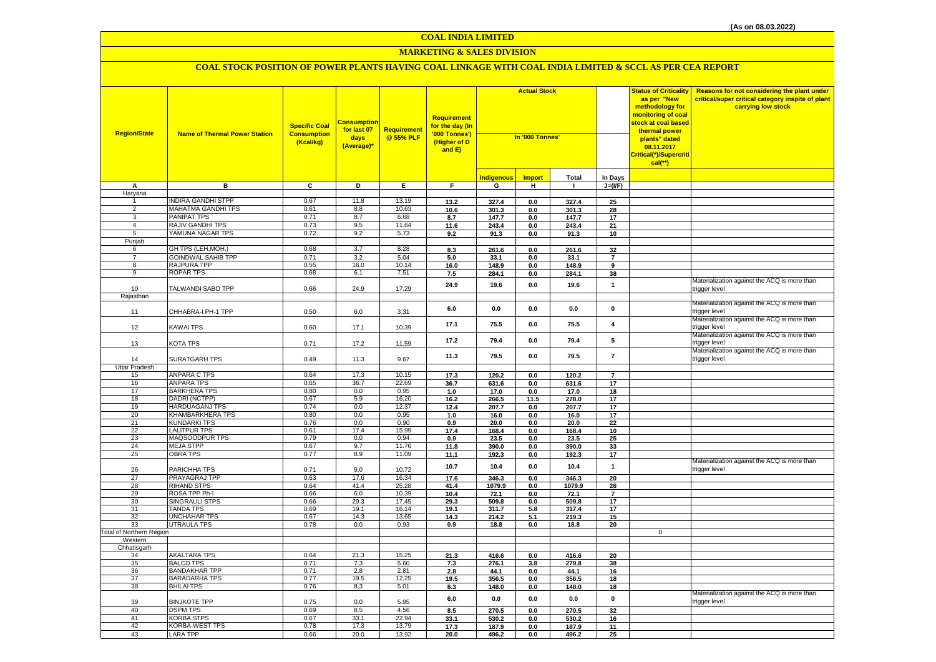#### **MARKETING & SALES DIVISION**

| <b>Region/State</b>             | <b>Name of Thermal Power Station</b>            | <b>Specific Coal</b><br><b>Consumption</b><br>(Kcal/kg) | Consumption<br>for last 07<br>days<br>(Average)* | <b>Requirement</b><br>@ 55% PLF | Requirement<br>for the day (In<br>'000 Tonnes')<br>(Higher of D<br>and E) | <b>Actual Stock</b><br>In '000 Tonnes' |               |               |                               | <b>Status of Criticality</b><br>as per "New<br>methodology for<br>monitoring of coal<br>stock at coal based<br>thermal power<br>plants" dated<br>08.11.2017<br>Critical(*)/Supercriti<br>$cal(**)$ | Reasons for not considering the plant under<br>critical/super critical category inspite of plant<br>carrying low stock |
|---------------------------------|-------------------------------------------------|---------------------------------------------------------|--------------------------------------------------|---------------------------------|---------------------------------------------------------------------------|----------------------------------------|---------------|---------------|-------------------------------|----------------------------------------------------------------------------------------------------------------------------------------------------------------------------------------------------|------------------------------------------------------------------------------------------------------------------------|
|                                 |                                                 |                                                         |                                                  |                                 |                                                                           | <b>Indigenous</b>                      | <b>Import</b> | Total         | In Days                       |                                                                                                                                                                                                    |                                                                                                                        |
| A                               | в                                               | $\overline{c}$                                          | Þ                                                | Е.                              | F.                                                                        | G                                      | H             | I.            | $J=(VF)$                      |                                                                                                                                                                                                    |                                                                                                                        |
| Haryana                         |                                                 |                                                         |                                                  |                                 |                                                                           |                                        |               |               |                               |                                                                                                                                                                                                    |                                                                                                                        |
|                                 | <b>INDIRA GANDHI STPP</b>                       | 0.67                                                    | 11.8                                             | 13.19                           | 13.2                                                                      | 327.4                                  | 0.0           | 327.4         | 25                            |                                                                                                                                                                                                    |                                                                                                                        |
| 2                               | <b>MAHATMA GANDHI TPS</b>                       | 0.61                                                    | 8.8                                              | 10.63                           | 10.6                                                                      | 301.3                                  | 0.0           | 301.3         | 28                            |                                                                                                                                                                                                    |                                                                                                                        |
| 3                               | PANIPAT TPS                                     | 0.71                                                    | 8.7                                              | 6.68                            | 8.7                                                                       | 147.7                                  | 0.0           | 147.7         | 17                            |                                                                                                                                                                                                    |                                                                                                                        |
| 4                               | <b>RAJIV GANDHI TPS</b>                         | 0.73                                                    | 9.5                                              | 11.64                           | 11.6                                                                      | 243.4                                  | 0.0           | 243.4         | 21                            |                                                                                                                                                                                                    |                                                                                                                        |
| 5                               | YAMUNA NAGAR TPS                                | 0.72                                                    | 9.2                                              | 5.73                            | 9.2                                                                       | 91.3                                   | 0.0           | 91.3          | 10                            |                                                                                                                                                                                                    |                                                                                                                        |
| Punjab                          |                                                 |                                                         |                                                  |                                 |                                                                           |                                        |               |               |                               |                                                                                                                                                                                                    |                                                                                                                        |
| 6                               | GH TPS (LEH.MOH.)                               | 0.68                                                    | 3.7                                              | 8.28                            | 8.3                                                                       | 261.6                                  | 0.0           | 261.6         | 32                            |                                                                                                                                                                                                    |                                                                                                                        |
| $\overline{7}$<br>8             | <b>GOINDWAL SAHIB TPP</b><br><b>RAJPURA TPP</b> | 0.71<br>0.55                                            | 3.2<br>16.0                                      | 5.04<br>10.14                   | 5.0                                                                       | 33.1                                   | 0.0           | 33.1          | $\overline{7}$                |                                                                                                                                                                                                    |                                                                                                                        |
| 9                               | <b>ROPAR TPS</b>                                | 0.68                                                    | 6.1                                              | 7.51                            | 16.0                                                                      | 148.9                                  | 0.0           | 148.9         | 9                             |                                                                                                                                                                                                    |                                                                                                                        |
|                                 |                                                 |                                                         |                                                  |                                 | 7.5                                                                       | 284.1                                  | 0.0           | 284.1         | 38                            |                                                                                                                                                                                                    | Materialization against the ACQ is more than                                                                           |
| 10<br>Rajasthan                 | TALWANDI SABO TPP                               | 0.66                                                    | 24.9                                             | 17.29                           | 24.9                                                                      | 19.6                                   | 0.0           | 19.6          | $\mathbf{1}$                  |                                                                                                                                                                                                    | trigger level                                                                                                          |
|                                 |                                                 |                                                         |                                                  |                                 |                                                                           |                                        |               |               |                               |                                                                                                                                                                                                    | Materialization against the ACQ is more than                                                                           |
| 11                              | CHHABRA-I PH-1 TPP                              | 0.50                                                    | 6.0                                              | 3.31                            | 6.0                                                                       | 0.0                                    | 0.0           | 0.0           | 0                             |                                                                                                                                                                                                    | trigger level<br>Materialization against the ACQ is more than                                                          |
| 12                              | KAWAI TPS                                       | 0.60                                                    | 17.1                                             | 10.39                           | 17.1                                                                      | 75.5                                   | 0.0           | 75.5          | $\overline{4}$                |                                                                                                                                                                                                    | trigger level                                                                                                          |
| 13                              | KOTA TPS                                        | 0.71                                                    | 17.2                                             | 11.59                           | 17.2                                                                      | 79.4                                   | 0.0           | 79.4          | 5                             |                                                                                                                                                                                                    | Materialization against the ACQ is more than<br>trigger level                                                          |
| 14                              | SURATGARH TPS                                   | 0.49                                                    | 11.3                                             | 9.67                            | 11.3                                                                      | 79.5                                   | 0.0           | 79.5          | $\overline{7}$                |                                                                                                                                                                                                    | Materialization against the ACQ is more than<br>trigger level                                                          |
| <b>Uttar Pradesh</b>            |                                                 |                                                         |                                                  |                                 |                                                                           |                                        |               |               |                               |                                                                                                                                                                                                    |                                                                                                                        |
| 15                              | <b>ANPARA C TPS</b>                             | 0.64                                                    | 17.3                                             | 10.15                           | 17.3                                                                      | 120.2                                  | 0.0           | 120.2         | $\overline{\mathbf{r}}$       |                                                                                                                                                                                                    |                                                                                                                        |
| 16                              | <b>ANPARA TPS</b>                               | 0.65                                                    | 36.7                                             | 22.69                           | 36.7                                                                      | 631.6                                  | 0.0           | 631.6         | 17                            |                                                                                                                                                                                                    |                                                                                                                        |
| 17                              | <b>BARKHERA TPS</b><br>DADRI (NCTPP)            | 0.80<br>0.67                                            | 0.0<br>5.9                                       | 0.95<br>16.20                   | 1.0                                                                       | 17.0                                   | 0.0           | 17.0          | 18                            |                                                                                                                                                                                                    |                                                                                                                        |
| 18<br>19                        | <b>HARDUAGANJ TPS</b>                           | 0.74                                                    | 0.0                                              | 12.37                           | 16.2                                                                      | 266.5<br>207.7                         | 11.5          | 278.0         | 17<br>17                      |                                                                                                                                                                                                    |                                                                                                                        |
| 20                              | <b>KHAMBARKHERA TPS</b>                         | 0.80                                                    | 0.0                                              | 0.95                            | 12.4<br>1.0                                                               | 16.0                                   | 0.0<br>0.0    | 207.7<br>16.0 | 17                            |                                                                                                                                                                                                    |                                                                                                                        |
| 21                              | <b>KUNDARKI TPS</b>                             | 0.76                                                    | 0.0                                              | 0.90                            | 0.9                                                                       | 20.0                                   | 0.0           | 20.0          | 22                            |                                                                                                                                                                                                    |                                                                                                                        |
| 22                              | <b>LALITPUR TPS</b>                             | 0.61                                                    | 17.4                                             | 15.99                           | 17.4                                                                      | 168.4                                  | 0.0           | 168.4         | 10                            |                                                                                                                                                                                                    |                                                                                                                        |
| 23                              | MAQSOODPUR TPS                                  | 0.79                                                    | 0.0                                              | 0.94                            | 0.9                                                                       | 23.5                                   | 0.0           | 23.5          | 25                            |                                                                                                                                                                                                    |                                                                                                                        |
| 24                              | <b>MEJA STPP</b>                                | 0.67                                                    | 9.7                                              | 11.76                           | 11.8                                                                      | 390.0                                  | 0.0           | 390.0         | 33                            |                                                                                                                                                                                                    |                                                                                                                        |
| 25                              | <b>OBRA TPS</b>                                 | 0.77                                                    | 8.9                                              | 11.09                           | 11.1                                                                      | 192.3                                  | 0.0           | 192.3         | 17                            |                                                                                                                                                                                                    |                                                                                                                        |
|                                 |                                                 |                                                         |                                                  |                                 | 10.7                                                                      | 10.4                                   | 0.0           | 10.4          | $\mathbf{1}$                  |                                                                                                                                                                                                    | Materialization against the ACQ is more than                                                                           |
| 26                              | PARICHHA TPS                                    | 0.71                                                    | 9.0                                              | 10.72                           |                                                                           |                                        |               |               |                               |                                                                                                                                                                                                    | trigger level                                                                                                          |
| 27                              | <b>PRAYAGRAJ TPP</b>                            | 0.63                                                    | 17.6                                             | 16.34                           | 17.6                                                                      | 346.3                                  | 0.0           | 346.3         | 20                            |                                                                                                                                                                                                    |                                                                                                                        |
| 28                              | <b>RIHAND STPS</b>                              | 0.64                                                    | 41.4<br>6.0                                      | 25.28                           | 41.4                                                                      | 1079.9                                 | 0.0           | 1079.9        | 26<br>$\overline{\mathbf{z}}$ |                                                                                                                                                                                                    |                                                                                                                        |
| 29<br>30                        | ROSA TPP Ph-I<br><b>SINGRAULI STPS</b>          | 0.66<br>0.66                                            | 29.3                                             | 10.39<br>17.45                  | 10.4<br>29.3                                                              | 72.1<br>509.8                          | 0.0<br>0.0    | 72.1<br>509.8 | 17                            |                                                                                                                                                                                                    |                                                                                                                        |
| 31                              | <b>TANDA TPS</b>                                | 0.69                                                    | 19.1                                             | 16.14                           | 19.1                                                                      | 311.7                                  | 5.8           | 317.4         | 17                            |                                                                                                                                                                                                    |                                                                                                                        |
| 32                              | <b>UNCHAHAR TPS</b>                             | 0.67                                                    | 14.3                                             | 13.65                           | 14.3                                                                      | 214.2                                  | 5.1           | 219.3         | 15                            |                                                                                                                                                                                                    |                                                                                                                        |
| 33                              | <b>UTRAULA TPS</b>                              | 0.78                                                    | 0.0                                              | 0.93                            | 0.9                                                                       | 18.8                                   | 0.0           | 18.8          | 20                            |                                                                                                                                                                                                    |                                                                                                                        |
| <b>Total of Northern Region</b> |                                                 |                                                         |                                                  |                                 |                                                                           |                                        |               |               |                               | $\mathbf{0}$                                                                                                                                                                                       |                                                                                                                        |
| Western                         |                                                 |                                                         |                                                  |                                 |                                                                           |                                        |               |               |                               |                                                                                                                                                                                                    |                                                                                                                        |
| Chhatisgarh                     |                                                 |                                                         |                                                  |                                 |                                                                           |                                        |               |               |                               |                                                                                                                                                                                                    |                                                                                                                        |
| 34                              | <b>AKALTARA TPS</b>                             | 0.64                                                    | 21.3                                             | 15.25                           | 21.3                                                                      | 416.6                                  | 0.0           | 416.6         | 20                            |                                                                                                                                                                                                    |                                                                                                                        |
| 35<br>36                        | <b>BALCO TPS</b><br><b>BANDAKHAR TPP</b>        | 0.71<br>0.71                                            | 7.3<br>2.8                                       | 5.60<br>2.81                    | 7.3<br>2.8                                                                | 276.1<br>44.1                          | 3.8<br>0.0    | 279.8<br>44.1 | 38<br>16                      |                                                                                                                                                                                                    |                                                                                                                        |
| 37                              | <b>BARADARHA TPS</b>                            | 0.77                                                    | 19.5                                             | 12.25                           | 19.5                                                                      | 356.5                                  | 0.0           | 356.5         | 18                            |                                                                                                                                                                                                    |                                                                                                                        |
| 38                              | <b>BHILAI TPS</b>                               | 0.76                                                    | 8.3                                              | 5.01                            | 8.3                                                                       | 148.0                                  | 0.0           | 148.0         | 18                            |                                                                                                                                                                                                    |                                                                                                                        |
| 39                              | <b>BINJKOTE TPP</b>                             | 0.75                                                    | 0.0                                              | 5.95                            | $6.0\,$                                                                   | 0.0                                    | 0.0           | $0.0\,$       | $\pmb{0}$                     |                                                                                                                                                                                                    | Materialization against the ACQ is more than<br>trigger level                                                          |
| 40                              | <b>DSPM TPS</b>                                 | 0.69                                                    | 8.5                                              | 4.56                            | 8.5                                                                       | 270.5                                  | 0.0           | 270.5         | 32                            |                                                                                                                                                                                                    |                                                                                                                        |
| 41                              | <b>KORBA STPS</b>                               | 0.67                                                    | 33.1                                             | 22.94                           | 33.1                                                                      | 530.2                                  | 0.0           | 530.2         | 16                            |                                                                                                                                                                                                    |                                                                                                                        |
| 42                              | <b>KORBA-WEST TPS</b>                           | 0.78                                                    | 17.3                                             | 13.79                           | 17.3                                                                      | 187.9                                  | 0.0           | 187.9         | 11                            |                                                                                                                                                                                                    |                                                                                                                        |
| 43                              | <b>LARA TPP</b>                                 | 0.66                                                    | 20.0                                             | 13.92                           | 20.0                                                                      | 496.2                                  | 0.0           | 496.2         | 25                            |                                                                                                                                                                                                    |                                                                                                                        |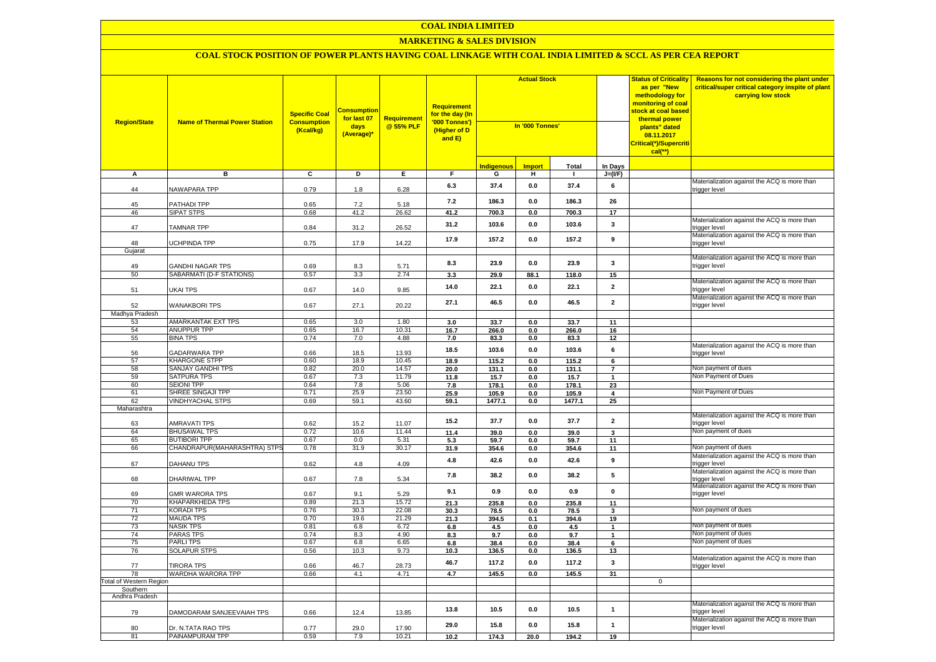# **MARKETING & SALES DIVISION**

| <b>Region/State</b>           | <b>Name of Thermal Power Station</b>                | <b>Specific Coal</b><br><b>Consumption</b><br>(Kcal/kg) | <mark>Consumption</mark><br>for last 07<br>days<br>(Average)* | <b>Requirement</b><br>@ 55% PLF | <b>Requirement</b><br>for the day (In<br>'000 Tonnes')<br>(Higher of D<br>and E) | <b>Actual Stock</b><br>In '000 Tonnes' |                |               | <b>Status of Criticality</b><br>as per "New<br>methodology for<br>monitoring of coal<br>stock at coal based<br>thermal power<br>plants" dated<br>08.11.2017<br>Critical(*)/Supercriti<br>$cal$ <sup>**</sup> ) | Reasons for not considering the plant under<br>critical/super critical category inspite of plant<br>carrying low stock |                                                               |
|-------------------------------|-----------------------------------------------------|---------------------------------------------------------|---------------------------------------------------------------|---------------------------------|----------------------------------------------------------------------------------|----------------------------------------|----------------|---------------|----------------------------------------------------------------------------------------------------------------------------------------------------------------------------------------------------------------|------------------------------------------------------------------------------------------------------------------------|---------------------------------------------------------------|
|                               |                                                     |                                                         |                                                               |                                 |                                                                                  | Indiaenous                             | <b>Import</b>  | <b>Total</b>  | In Days                                                                                                                                                                                                        |                                                                                                                        |                                                               |
| Α                             | в                                                   | C                                                       | D                                                             | Е.                              | F.                                                                               | G                                      | н.             | $\mathbf{I}$  | $J=(I/F)$                                                                                                                                                                                                      |                                                                                                                        |                                                               |
| 44                            | NAWAPARA TPP                                        | 0.79                                                    | 1.8                                                           | 6.28                            | 6.3                                                                              | 37.4                                   | 0.0            | 37.4          | 6                                                                                                                                                                                                              |                                                                                                                        | Materialization against the ACQ is more than<br>trigger level |
| 45                            | PATHADI TPP                                         | 0.65                                                    | 7.2                                                           | 5.18                            | $7.2$                                                                            | 186.3                                  | 0.0            | 186.3         | 26                                                                                                                                                                                                             |                                                                                                                        |                                                               |
| 46                            | <b>SIPAT STPS</b>                                   | 0.68                                                    | 41.2                                                          | 26.62                           | 41.2                                                                             | 700.3                                  | 0.0            | 700.3         | 17                                                                                                                                                                                                             |                                                                                                                        |                                                               |
| 47                            | <b>TAMNAR TPP</b>                                   | 0.84                                                    | 31.2                                                          | 26.52                           | 31.2                                                                             | 103.6                                  | 0.0            | 103.6         | $\mathbf{3}$                                                                                                                                                                                                   |                                                                                                                        | Materialization against the ACQ is more than<br>trigger level |
| 48                            | <b>UCHPINDA TPP</b>                                 | 0.75                                                    | 17.9                                                          | 14.22                           | 17.9                                                                             | 157.2                                  | 0.0            | 157.2         | 9                                                                                                                                                                                                              |                                                                                                                        | Materialization against the ACQ is more than<br>trigger level |
| Gujarat                       |                                                     |                                                         |                                                               |                                 |                                                                                  |                                        |                |               |                                                                                                                                                                                                                |                                                                                                                        |                                                               |
| 49                            | <b>GANDHI NAGAR TPS</b>                             | 0.69                                                    | 8.3                                                           | 5.71                            | 8.3                                                                              | 23.9                                   | 0.0            | 23.9          | 3                                                                                                                                                                                                              |                                                                                                                        | Materialization against the ACQ is more than<br>trigger level |
| 50                            | SABARMATI (D-F STATIONS)                            | 0.57                                                    | 3.3                                                           | 2.74                            | 3.3                                                                              | 29.9                                   | 88.1           | 118.0         | 15                                                                                                                                                                                                             |                                                                                                                        |                                                               |
| 51                            | <b>UKAI TPS</b>                                     | 0.67                                                    | 14.0                                                          | 9.85                            | 14.0                                                                             | 22.1                                   | 0.0            | 22.1          | $\mathbf{2}$                                                                                                                                                                                                   |                                                                                                                        | Materialization against the ACQ is more than<br>trigger level |
| 52                            | <b>WANAKBORI TPS</b>                                | 0.67                                                    | 27.1                                                          | 20.22                           | 27.1                                                                             | 46.5                                   | 0.0            | 46.5          | $\mathbf{2}$                                                                                                                                                                                                   |                                                                                                                        | Materialization against the ACQ is more than<br>trigger level |
| Madhya Pradesh                |                                                     |                                                         |                                                               |                                 |                                                                                  |                                        |                |               |                                                                                                                                                                                                                |                                                                                                                        |                                                               |
| 53                            | AMARKANTAK EXT TPS                                  | 0.65                                                    | 3.0                                                           | 1.80                            | 3.0                                                                              | 33.7                                   | 0.0            | 33.7          | 11                                                                                                                                                                                                             |                                                                                                                        |                                                               |
| 54<br>55                      | ANUPPUR TPP<br><b>BINA TPS</b>                      | 0.65<br>0.74                                            | 16.7<br>7.0                                                   | 10.31<br>4.88                   | 16.7<br>7.0                                                                      | 266.0<br>83.3                          | 0.0<br>0.0     | 266.0<br>83.3 | 16<br>12                                                                                                                                                                                                       |                                                                                                                        |                                                               |
| 56                            | <b>GADARWARA TPP</b>                                | 0.66                                                    | 18.5                                                          | 13.93                           | 18.5                                                                             | 103.6                                  | 0.0            | 103.6         | 6                                                                                                                                                                                                              |                                                                                                                        | Materialization against the ACQ is more than<br>trigger level |
| 57                            | <b>KHARGONE STPP</b>                                | 0.60                                                    | 18.9                                                          | 10.45                           | 18.9                                                                             | 115.2                                  | $\mathbf{0.0}$ | 115.2         | 6                                                                                                                                                                                                              |                                                                                                                        |                                                               |
| 58                            | <b>SANJAY GANDHI TPS</b>                            | 0.82                                                    | 20.0                                                          | 14.57                           | 20.0                                                                             | 131.1                                  | 0.0            | 131.1         | $\overline{7}$                                                                                                                                                                                                 |                                                                                                                        | Non payment of dues                                           |
| 59<br>60                      | <b>SATPURA TPS</b><br><b>SEIONI TPP</b>             | 0.67<br>0.64                                            | 7.3<br>7.8                                                    | 11.79<br>5.06                   | 11.8<br>7.8                                                                      | 15.7<br>178.1                          | 0.0<br>0.0     | 15.7<br>178.1 | $\mathbf{1}$                                                                                                                                                                                                   |                                                                                                                        | Non Payment of Dues                                           |
| 61                            | SHREE SINGAJI TPP                                   | 0.71                                                    | 25.9                                                          | 23.50                           | 25.9                                                                             | 105.9                                  | 0.0            | 105.9         | 23<br>$\overline{\mathbf{4}}$                                                                                                                                                                                  |                                                                                                                        | Non Payment of Dues                                           |
| 62                            | <b>VINDHYACHAL STPS</b>                             | 0.69                                                    | 59.1                                                          | 43.60                           | 59.1                                                                             | 1477.1                                 | 0.0            | 1477.1        | 25                                                                                                                                                                                                             |                                                                                                                        |                                                               |
| Maharashtra                   |                                                     |                                                         |                                                               |                                 |                                                                                  |                                        |                |               |                                                                                                                                                                                                                |                                                                                                                        |                                                               |
| 63                            | <b>AMRAVATI TPS</b>                                 | 0.62                                                    | 15.2                                                          | 11.07                           | 15.2                                                                             | 37.7                                   | 0.0            | 37.7          | $\mathbf{2}$                                                                                                                                                                                                   |                                                                                                                        | Materialization against the ACQ is more than<br>trigger level |
| 64                            | <b>BHUSAWAL TPS</b>                                 | 0.72                                                    | 10.6<br>0.0                                                   | 11.44                           | 11.4                                                                             | 39.0                                   | 0.0            | 39.0          | 3                                                                                                                                                                                                              |                                                                                                                        | Non payment of dues                                           |
| 65<br>66                      | <b>BUTIBORI TPP</b><br>CHANDRAPUR(MAHARASHTRA) STPS | 0.67<br>0.78                                            | 31.9                                                          | 5.31<br>30.17                   | 5.3<br>31.9                                                                      | 59.7<br>354.6                          | 0.0<br>0.0     | 59.7<br>354.6 | 11<br>11                                                                                                                                                                                                       |                                                                                                                        | Non payment of dues                                           |
| 67                            | DAHANU TPS                                          | 0.62                                                    | 4.8                                                           | 4.09                            | 4.8                                                                              | 42.6                                   | 0.0            | 42.6          | 9                                                                                                                                                                                                              |                                                                                                                        | Materialization against the ACQ is more than<br>trigger level |
| 68                            | <b>DHARIWAL TPP</b>                                 | 0.67                                                    | 7.8                                                           | 5.34                            | 7.8                                                                              | 38.2                                   | 0.0            | 38.2          | 5                                                                                                                                                                                                              |                                                                                                                        | Materialization against the ACQ is more than<br>trigger level |
| 69                            | <b>GMR WARORA TPS</b>                               | 0.67                                                    | 9.1                                                           | 5.29                            | 9.1                                                                              | 0.9                                    | 0.0            | 0.9           | $\pmb{0}$                                                                                                                                                                                                      |                                                                                                                        | Materialization against the ACQ is more than<br>trigger level |
| 70                            | <b>KHAPARKHEDA TPS</b>                              | 0.89                                                    | 21.3                                                          | 15.72                           | 21.3                                                                             | 235.8                                  | 0.0            | 235.8         | 11                                                                                                                                                                                                             |                                                                                                                        |                                                               |
| 71                            | <b>KORADI TPS</b>                                   | 0.76                                                    | 30.3                                                          | 22.08                           | 30.3                                                                             | 78.5                                   | 0.0            | 78.5          | 3                                                                                                                                                                                                              |                                                                                                                        | Non payment of dues                                           |
| 72<br>73                      | <b>MAUDA TPS</b><br><b>NASIK TPS</b>                | 0.70<br>0.81                                            | 19.6<br>6.8                                                   | 21.29<br>6.72                   | 21.3<br>6.8                                                                      | 394.5<br>4.5                           | 0.1<br>0.0     | 394.6<br>4.5  | 19<br>$\mathbf{1}$                                                                                                                                                                                             |                                                                                                                        | Non payment of dues                                           |
| 74                            | <b>PARAS TPS</b>                                    | 0.74                                                    | 8.3                                                           | 4.90                            | 8.3                                                                              | 9.7                                    | 0.0            | 9.7           | $\mathbf{1}$                                                                                                                                                                                                   |                                                                                                                        | Non payment of dues                                           |
| 75                            | <b>PARLITPS</b>                                     | 0.67                                                    | 6.8                                                           | 6.65                            | 6.8                                                                              | 38.4                                   | 0.0            | 38.4          | 6                                                                                                                                                                                                              |                                                                                                                        | Non payment of dues                                           |
| 76                            | SOLAPUR STPS                                        | 0.56                                                    | 10.3                                                          | 9.73                            | 10.3                                                                             | 136.5                                  | 0.0            | 136.5         | 13                                                                                                                                                                                                             |                                                                                                                        |                                                               |
| 77                            | <b>TIRORA TPS</b>                                   | 0.66                                                    | 46.7                                                          | 28.73                           | 46.7                                                                             | 117.2                                  | 0.0            | 117.2         | 3                                                                                                                                                                                                              |                                                                                                                        | Materialization against the ACQ is more than<br>trigger level |
| 78<br>Total of Western Region | WARDHA WARORA TPP                                   | 0.66                                                    | 4.1                                                           | 4.71                            | 4.7                                                                              | 145.5                                  | 0.0            | 145.5         | 31                                                                                                                                                                                                             | $\mathbf{0}$                                                                                                           |                                                               |
| Southern                      |                                                     |                                                         |                                                               |                                 |                                                                                  |                                        |                |               |                                                                                                                                                                                                                |                                                                                                                        |                                                               |
| Andhra Pradesh                |                                                     |                                                         |                                                               |                                 |                                                                                  |                                        |                |               |                                                                                                                                                                                                                |                                                                                                                        |                                                               |
| 79                            | DAMODARAM SANJEEVAIAH TPS                           | 0.66                                                    | 12.4                                                          | 13.85                           | 13.8                                                                             | 10.5                                   | 0.0            | 10.5          | $\mathbf{1}$                                                                                                                                                                                                   |                                                                                                                        | Materialization against the ACQ is more than<br>trigger level |
| 80                            | Dr. N.TATA RAO TPS                                  | 0.77                                                    | 29.0                                                          | 17.90                           | 29.0                                                                             | 15.8                                   | 0.0            | 15.8          | $\mathbf{1}$                                                                                                                                                                                                   |                                                                                                                        | Materialization against the ACQ is more than<br>trigger level |
| 81                            | PAINAMPURAM TPP                                     | 0.59                                                    | 7.9                                                           | 10.21                           | 10.2                                                                             | 174.3                                  | 20.0           | 194.2         | 19                                                                                                                                                                                                             |                                                                                                                        |                                                               |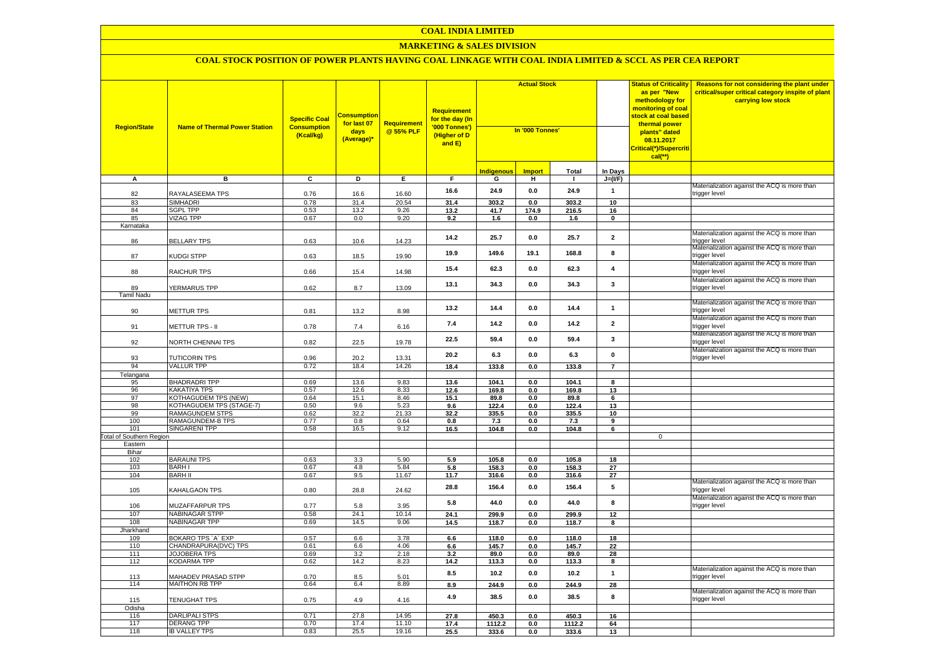# **MARKETING & SALES DIVISION**

| <b>Region/State</b>      | <b>Name of Thermal Power Station</b>       | <b>Specific Coal</b><br><b>Consumption</b><br>(Kcal/kg) | <mark>consumption</mark><br>for last 07<br>days<br>(Average)* | <b>Requirement</b><br>@ 55% PLF | Requirement<br>for the day (In<br>'000 Tonnes')<br>(Higher of D<br>and E) | <b>Actual Stock</b><br>In '000 Tonnes' |               | <b>Status of Criticality</b><br>as per "New<br>methodology for<br><mark>monitoring of coal</mark><br><mark>stock at coal based</mark><br>thermal power<br>plants" dated<br>08.11.2017<br>Critical(*)/Supercriti<br>$cal$ (**) |                 | <b>Reasons for not considering the plant under</b><br>critical/super critical category inspite of plant<br>carrying low stock |                                                                                                              |
|--------------------------|--------------------------------------------|---------------------------------------------------------|---------------------------------------------------------------|---------------------------------|---------------------------------------------------------------------------|----------------------------------------|---------------|-------------------------------------------------------------------------------------------------------------------------------------------------------------------------------------------------------------------------------|-----------------|-------------------------------------------------------------------------------------------------------------------------------|--------------------------------------------------------------------------------------------------------------|
|                          |                                            |                                                         |                                                               |                                 |                                                                           | <mark>Indigenous</mark>                | <b>Import</b> | <b>Total</b>                                                                                                                                                                                                                  | In Days         |                                                                                                                               |                                                                                                              |
| A                        | в                                          | $\overline{c}$                                          | Þ                                                             | Е.                              | F.                                                                        | G                                      | н.            | $\mathbf{I}$                                                                                                                                                                                                                  | $J=(I/F)$       |                                                                                                                               |                                                                                                              |
| 82                       | RAYALASEEMA TPS                            | 0.76                                                    | 16.6                                                          | 16.60                           | 16.6                                                                      | 24.9                                   | 0.0           | 24.9                                                                                                                                                                                                                          | $\mathbf{1}$    |                                                                                                                               | Materialization against the ACQ is more than<br>trigger level                                                |
| 83                       | <b>SIMHADRI</b>                            | 0.78                                                    | 31.4                                                          | 20.54                           | 31.4                                                                      | 303.2                                  | 0.0           | 303.2                                                                                                                                                                                                                         | 10              |                                                                                                                               |                                                                                                              |
| 84                       | <b>SGPL TPP</b>                            | 0.53                                                    | 13.2                                                          | 9.26                            | 13.2                                                                      | 41.7                                   | 174.9         | 216.5                                                                                                                                                                                                                         | 16              |                                                                                                                               |                                                                                                              |
| 85                       | <b>VIZAG TPP</b>                           | 0.67                                                    | 0.0                                                           | 9.20                            | 9.2                                                                       | 1.6                                    | 0.0           | 1.6                                                                                                                                                                                                                           | $\mathbf 0$     |                                                                                                                               |                                                                                                              |
| Karnataka<br>86          | <b>BELLARY TPS</b>                         | 0.63                                                    | 10.6                                                          | 14.23                           | 14.2                                                                      | 25.7                                   | 0.0           | 25.7                                                                                                                                                                                                                          | $\overline{2}$  |                                                                                                                               | Materialization against the ACQ is more than<br>rigger level                                                 |
| 87                       | KUDGI STPP                                 | 0.63                                                    | 18.5                                                          | 19.90                           | 19.9                                                                      | 149.6                                  | 19.1          | 168.8                                                                                                                                                                                                                         | 8               |                                                                                                                               | Materialization against the ACQ is more than<br>rigger level                                                 |
| 88                       | RAICHUR TPS                                | 0.66                                                    | 15.4                                                          | 14.98                           | 15.4                                                                      | 62.3                                   | 0.0           | 62.3                                                                                                                                                                                                                          | $\overline{4}$  |                                                                                                                               | Materialization against the ACQ is more than<br>rigger level:                                                |
| 89                       | YERMARUS TPP                               | 0.62                                                    | 8.7                                                           | 13.09                           | 13.1                                                                      | 34.3                                   | 0.0           | 34.3                                                                                                                                                                                                                          | 3               |                                                                                                                               | Materialization against the ACQ is more than<br>rigger level                                                 |
| <b>Tamil Nadu</b>        |                                            |                                                         |                                                               |                                 |                                                                           |                                        |               |                                                                                                                                                                                                                               |                 |                                                                                                                               |                                                                                                              |
| 90                       | <b>METTUR TPS</b>                          | 0.81                                                    | 13.2                                                          | 8.98                            | 13.2                                                                      | 14.4                                   | 0.0           | 14.4                                                                                                                                                                                                                          | $\mathbf{1}$    |                                                                                                                               | Materialization against the ACQ is more than<br>rigger level                                                 |
| 91                       | <b>METTUR TPS - II</b>                     | 0.78                                                    | 7.4                                                           | 6.16                            | 7.4                                                                       | 14.2                                   | 0.0           | 14.2                                                                                                                                                                                                                          | $\overline{2}$  |                                                                                                                               | Materialization against the ACQ is more than<br>rigger level<br>Materialization against the ACQ is more than |
| 92                       | NORTH CHENNAI TPS                          | 0.82                                                    | 22.5                                                          | 19.78                           | 22.5                                                                      | 59.4                                   | 0.0           | 59.4                                                                                                                                                                                                                          | $\mathbf{3}$    |                                                                                                                               | trigger level                                                                                                |
| 93                       | <b>TUTICORIN TPS</b>                       | 0.96                                                    | 20.2                                                          | 13.31                           | 20.2                                                                      | 6.3                                    | 0.0           | 6.3                                                                                                                                                                                                                           | $\pmb{0}$       |                                                                                                                               | Materialization against the ACQ is more than<br>trigger level                                                |
| 94                       | <b>VALLUR TPP</b>                          | 0.72                                                    | 18.4                                                          | 14.26                           | 18.4                                                                      | 133.8                                  | 0.0           | 133.8                                                                                                                                                                                                                         | $\overline{7}$  |                                                                                                                               |                                                                                                              |
| Telangana<br>95          | <b>BHADRADRI TPP</b>                       | 0.69                                                    | 13.6                                                          | 9.83                            | 13.6                                                                      | 104.1                                  | 0.0           | 104.1                                                                                                                                                                                                                         | 8               |                                                                                                                               |                                                                                                              |
| 96                       | KAKATIYA TPS                               | 0.57                                                    | 12.6                                                          | 8.33                            | 12.6                                                                      | 169.8                                  | 0.0           | 169.8                                                                                                                                                                                                                         | 13              |                                                                                                                               |                                                                                                              |
| 97                       | KOTHAGUDEM TPS (NEW)                       | 0.64                                                    | 15.1                                                          | 8.46                            | 15.1                                                                      | 89.8                                   | 0.0           | 89.8                                                                                                                                                                                                                          | 6               |                                                                                                                               |                                                                                                              |
| 98                       | KOTHAGUDEM TPS (STAGE-7)                   | 0.50                                                    | 9.6                                                           | 5.23                            | 9.6                                                                       | 122.4                                  | 0.0           | 122.4                                                                                                                                                                                                                         | 13              |                                                                                                                               |                                                                                                              |
| 99                       | <b>RAMAGUNDEM STPS</b>                     | 0.62                                                    | 32.2                                                          | 21.33                           | 32.2                                                                      | 335.5                                  | 0.0           | 335.5                                                                                                                                                                                                                         | 10              |                                                                                                                               |                                                                                                              |
| 100                      | RAMAGUNDEM-B TPS                           | 0.77                                                    | 0.8                                                           | 0.64                            | 0.8                                                                       | 7.3                                    | 0.0           | 7.3                                                                                                                                                                                                                           | 9               |                                                                                                                               |                                                                                                              |
| 101                      | SINGARENI TPP                              | 0.58                                                    | 16.5                                                          | 9.12                            | 16.5                                                                      | 104.8                                  | 0.0           | 104.8                                                                                                                                                                                                                         | 6               |                                                                                                                               |                                                                                                              |
| Total of Southern Region |                                            |                                                         |                                                               |                                 |                                                                           |                                        |               |                                                                                                                                                                                                                               |                 | $\mathbf 0$                                                                                                                   |                                                                                                              |
| Eastern<br>Bihar         |                                            |                                                         |                                                               |                                 |                                                                           |                                        |               |                                                                                                                                                                                                                               |                 |                                                                                                                               |                                                                                                              |
| 102                      | <b>BARAUNI TPS</b>                         | 0.63                                                    | $3.3\,$                                                       | 5.90                            | 5.9                                                                       | 105.8                                  | 0.0           | 105.8                                                                                                                                                                                                                         | 18              |                                                                                                                               |                                                                                                              |
| 103                      | <b>BARHI</b>                               | 0.67                                                    | 4.8                                                           | 5.84                            | 5.8                                                                       | 158.3                                  | 0.0           | 158.3                                                                                                                                                                                                                         | 27              |                                                                                                                               |                                                                                                              |
| 104                      | <b>BARH II</b>                             | 0.67                                                    | 9.5                                                           | 11.67                           | 11.7                                                                      | 316.6                                  | 0.0           | 316.6                                                                                                                                                                                                                         | 27              |                                                                                                                               |                                                                                                              |
| 105                      | <b>KAHALGAON TPS</b>                       | 0.80                                                    | 28.8                                                          | 24.62                           | 28.8                                                                      | 156.4                                  | 0.0           | 156.4                                                                                                                                                                                                                         | $5\phantom{.0}$ |                                                                                                                               | Materialization against the ACQ is more than<br>rigger level                                                 |
| 106                      | MUZAFFARPUR TPS                            | 0.77                                                    | 5.8                                                           | 3.95                            | 5.8                                                                       | 44.0                                   | 0.0           | 44.0                                                                                                                                                                                                                          | 8               |                                                                                                                               | Materialization against the ACQ is more than<br>trigger level                                                |
| 107                      | <b>NABINAGAR STPP</b>                      | 0.58                                                    | 24.1                                                          | 10.14                           | 24.1                                                                      | 299.9                                  | 0.0           | 299.9                                                                                                                                                                                                                         | 12              |                                                                                                                               |                                                                                                              |
| 108                      | NABINAGAR TPP                              | 0.69                                                    | 14.5                                                          | 9.06                            | 14.5                                                                      | 118.7                                  | 0.0           | 118.7                                                                                                                                                                                                                         | 8               |                                                                                                                               |                                                                                                              |
| Jharkhand<br>109         | BOKARO TPS 'A' EXP                         | 0.57                                                    | 6.6                                                           | 3.78                            | 6.6                                                                       | 118.0                                  | 0.0           | 118.0                                                                                                                                                                                                                         | 18              |                                                                                                                               |                                                                                                              |
| 110                      | CHANDRAPURA(DVC) TPS                       | 0.61                                                    | 6.6                                                           | 4.06                            | 6.6                                                                       | 145.7                                  | 0.0           | 145.7                                                                                                                                                                                                                         | 22              |                                                                                                                               |                                                                                                              |
| 111                      | JOJOBERA TPS                               | 0.69                                                    | 3.2                                                           | 2.18                            | 3.2                                                                       | 89.0                                   | 0.0           | 89.0                                                                                                                                                                                                                          | 28              |                                                                                                                               |                                                                                                              |
| 112                      | KODARMA TPP                                | 0.62                                                    | 14.2                                                          | 8.23                            | 14.2                                                                      | 113.3                                  | 0.0           | 113.3                                                                                                                                                                                                                         | 8               |                                                                                                                               |                                                                                                              |
| 113                      | <b>MAHADEV PRASAD STPP</b>                 | 0.70                                                    | $8.5\,$                                                       | 5.01                            | 8.5                                                                       | 10.2                                   | 0.0           | 10.2                                                                                                                                                                                                                          | $\mathbf{1}$    |                                                                                                                               | Materialization against the ACQ is more than<br>rigger level                                                 |
| 114                      | <b>MAITHON RB TPP</b>                      | 0.64                                                    | 6.4                                                           | 8.89                            | 8.9                                                                       | 244.9                                  | 0.0           | 244.9                                                                                                                                                                                                                         | 28              |                                                                                                                               |                                                                                                              |
| 115                      | <b>TENUGHAT TPS</b>                        | 0.75                                                    | 4.9                                                           | 4.16                            | 4.9                                                                       | 38.5                                   | 0.0           | 38.5                                                                                                                                                                                                                          | 8               |                                                                                                                               | Materialization against the ACQ is more than<br>trigger level                                                |
| Odisha                   |                                            |                                                         |                                                               |                                 |                                                                           |                                        |               |                                                                                                                                                                                                                               |                 |                                                                                                                               |                                                                                                              |
| 116                      | <b>DARLIPALI STPS</b><br><b>DERANG TPP</b> | 0.71<br>0.70                                            | 27.8<br>17.4                                                  | 14.95<br>11.10                  | 27.8                                                                      | 450.3                                  | 0.0           | 450.3                                                                                                                                                                                                                         | 16              |                                                                                                                               |                                                                                                              |
| 117<br>118               | <b>IB VALLEY TPS</b>                       | 0.83                                                    | 25.5                                                          | 19.16                           | 17.4<br>25.5                                                              | 1112.2<br>333.6                        | 0.0<br>0.0    | 1112.2<br>333.6                                                                                                                                                                                                               | 64<br>13        |                                                                                                                               |                                                                                                              |
|                          |                                            |                                                         |                                                               |                                 |                                                                           |                                        |               |                                                                                                                                                                                                                               |                 |                                                                                                                               |                                                                                                              |